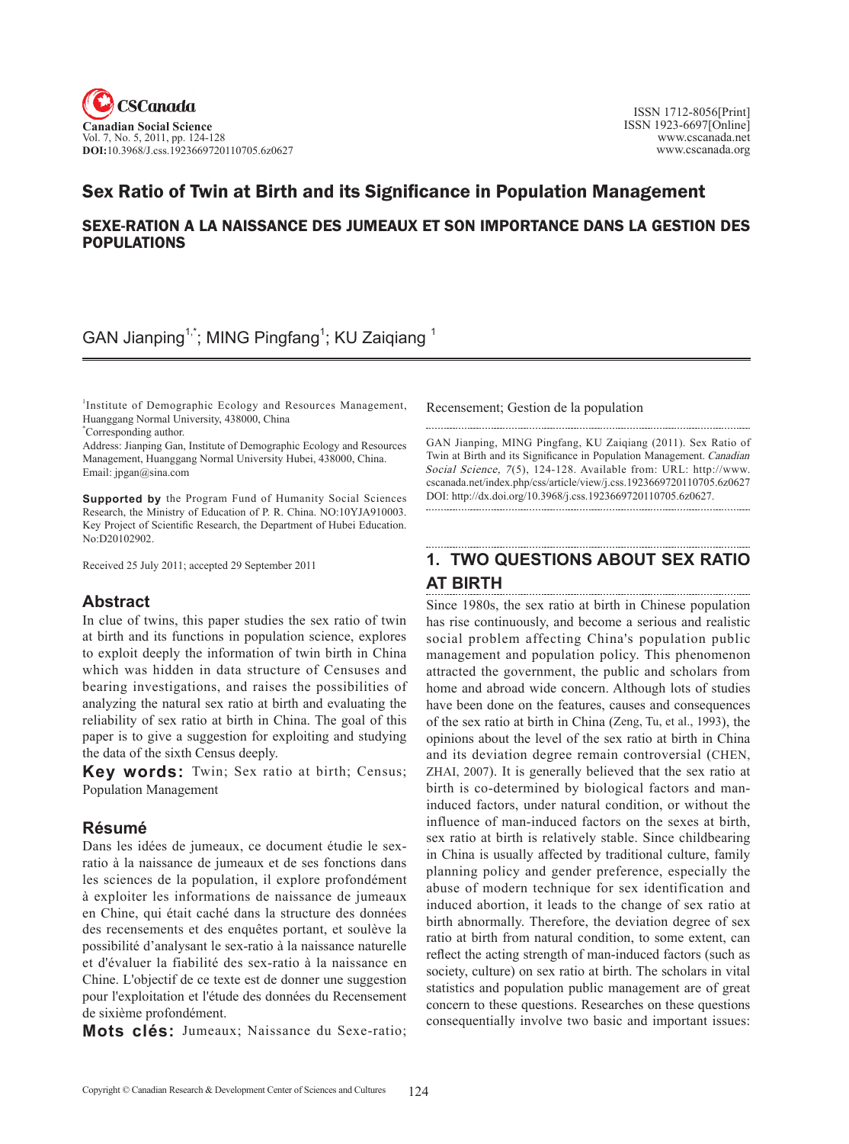

# Sex Ratio of Twin at Birth and its Significance in Population Management

### SEXE-RATION A LA NAISSANCE DES JUMEAUX ET SON IMPORTANCE DANS LA GESTION DES POPULATIONS

GAN Jianping<sup>1,\*</sup>; MING Pingfang<sup>1</sup>; KU Zaiqiang <sup>1</sup>

<sup>1</sup>Institute of Demographic Ecology and Resources Management, Huanggang Normal University, 438000, China \* Corresponding author.

Address: Jianping Gan, Institute of Demographic Ecology and Resources Management, Huanggang Normal University Hubei, 438000, China. Email: jpgan@sina.com

**Supported by** the Program Fund of Humanity Social Sciences Research, the Ministry of Education of P. R. China. NO:10YJA910003. Key Project of Scientific Research, the Department of Hubei Education. No:D20102902.

Received 25 July 2011; accepted 29 September 2011

### **Abstract**

In clue of twins, this paper studies the sex ratio of twin at birth and its functions in population science, explores to exploit deeply the information of twin birth in China which was hidden in data structure of Censuses and bearing investigations, and raises the possibilities of analyzing the natural sex ratio at birth and evaluating the reliability of sex ratio at birth in China. The goal of this paper is to give a suggestion for exploiting and studying the data of the sixth Census deeply.

**Key words:** Twin; Sex ratio at birth; Census; Population Management

## **Résumé**

Dans les idées de jumeaux, ce document étudie le sexratio à la naissance de jumeaux et de ses fonctions dans les sciences de la population, il explore profondément à exploiter les informations de naissance de jumeaux en Chine, qui était caché dans la structure des données des recensements et des enquêtes portant, et soulève la possibilité d'analysant le sex-ratio à la naissance naturelle et d'évaluer la fiabilité des sex-ratio à la naissance en Chine. L'objectif de ce texte est de donner une suggestion pour l'exploitation et l'étude des données du Recensement de sixième profondément.

**Mots clés:** Jumeaux; Naissance du Sexe-ratio;

Recensement; Gestion de la population

Gan Jianping, MING Pingfang, KU Zaiqiang (2011). Sex Ratio of Twin at Birth and its Significance in Population Management. Canadian Social Science, 7(5), 124-128. Available from: URL: http://www. cscanada.net/index.php/css/article/view/j.css.1923669720110705.6z0627 DOI: http://dx.doi.org/10.3968/j.css.1923669720110705.6z0627.

# **1. Two questions about sex ratio at birth**

Since 1980s, the sex ratio at birth in Chinese population has rise continuously, and become a serious and realistic social problem affecting China's population public management and population policy. This phenomenon attracted the government, the public and scholars from home and abroad wide concern. Although lots of studies have been done on the features, causes and consequences of the sex ratio at birth in China (Zeng, Tu, et al., 1993), the opinions about the level of the sex ratio at birth in China and its deviation degree remain controversial (Chen, ZHAI, 2007). It is generally believed that the sex ratio at birth is co-determined by biological factors and maninduced factors, under natural condition, or without the influence of man-induced factors on the sexes at birth, sex ratio at birth is relatively stable. Since childbearing in China is usually affected by traditional culture, family planning policy and gender preference, especially the abuse of modern technique for sex identification and induced abortion, it leads to the change of sex ratio at birth abnormally. Therefore, the deviation degree of sex ratio at birth from natural condition, to some extent, can reflect the acting strength of man-induced factors (such as society, culture) on sex ratio at birth. The scholars in vital statistics and population public management are of great concern to these questions. Researches on these questions consequentially involve two basic and important issues: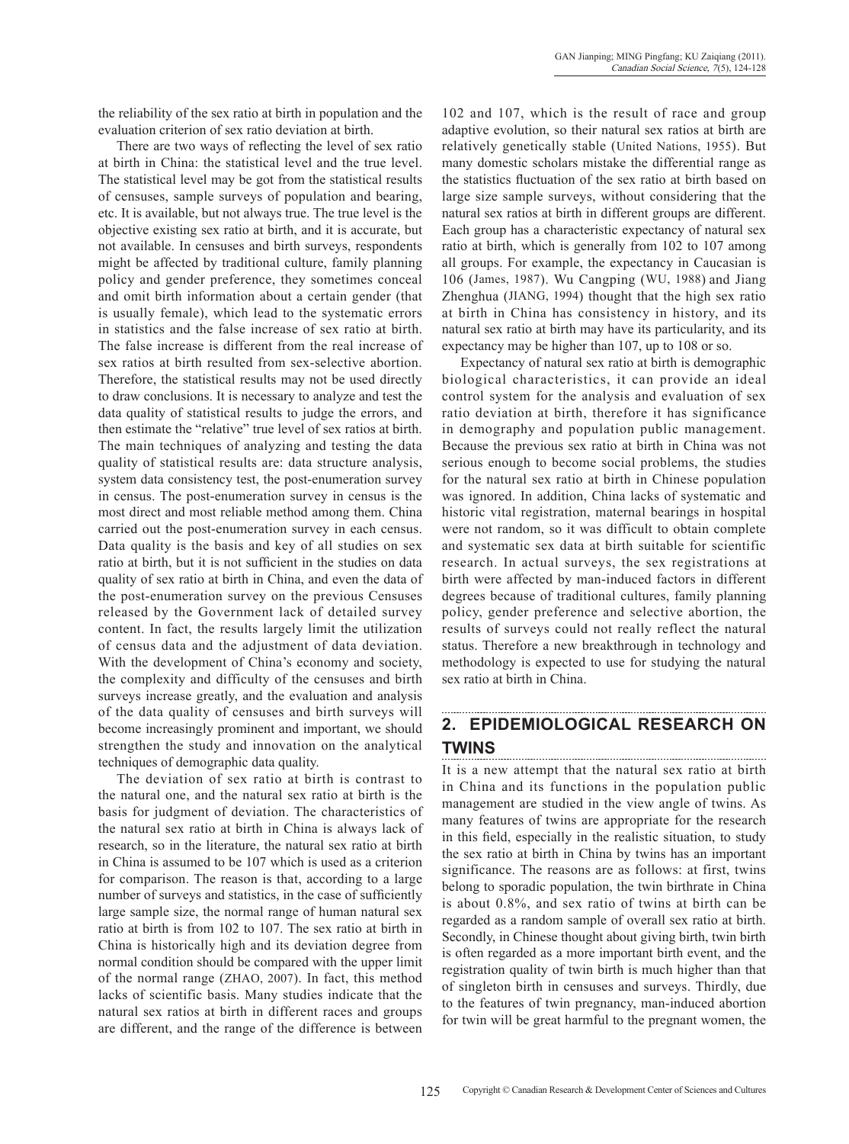the reliability of the sex ratio at birth in population and the evaluation criterion of sex ratio deviation at birth.

There are two ways of reflecting the level of sex ratio at birth in China: the statistical level and the true level. The statistical level may be got from the statistical results of censuses, sample surveys of population and bearing, etc. It is available, but not always true. The true level is the objective existing sex ratio at birth, and it is accurate, but not available. In censuses and birth surveys, respondents might be affected by traditional culture, family planning policy and gender preference, they sometimes conceal and omit birth information about a certain gender (that is usually female), which lead to the systematic errors in statistics and the false increase of sex ratio at birth. The false increase is different from the real increase of sex ratios at birth resulted from sex-selective abortion. Therefore, the statistical results may not be used directly to draw conclusions. It is necessary to analyze and test the data quality of statistical results to judge the errors, and then estimate the "relative" true level of sex ratios at birth. The main techniques of analyzing and testing the data quality of statistical results are: data structure analysis, system data consistency test, the post-enumeration survey in census. The post-enumeration survey in census is the most direct and most reliable method among them. China carried out the post-enumeration survey in each census. Data quality is the basis and key of all studies on sex ratio at birth, but it is not sufficient in the studies on data quality of sex ratio at birth in China, and even the data of the post-enumeration survey on the previous Censuses released by the Government lack of detailed survey content. In fact, the results largely limit the utilization of census data and the adjustment of data deviation. With the development of China's economy and society, the complexity and difficulty of the censuses and birth surveys increase greatly, and the evaluation and analysis of the data quality of censuses and birth surveys will become increasingly prominent and important, we should strengthen the study and innovation on the analytical techniques of demographic data quality.

The deviation of sex ratio at birth is contrast to the natural one, and the natural sex ratio at birth is the basis for judgment of deviation. The characteristics of the natural sex ratio at birth in China is always lack of research, so in the literature, the natural sex ratio at birth in China is assumed to be 107 which is used as a criterion for comparison. The reason is that, according to a large number of surveys and statistics, in the case of sufficiently large sample size, the normal range of human natural sex ratio at birth is from 102 to 107. The sex ratio at birth in China is historically high and its deviation degree from normal condition should be compared with the upper limit of the normal range (Zhao, 2007). In fact, this method lacks of scientific basis. Many studies indicate that the natural sex ratios at birth in different races and groups are different, and the range of the difference is between

102 and 107, which is the result of race and group adaptive evolution, so their natural sex ratios at birth are relatively genetically stable (United Nations, 1955). But many domestic scholars mistake the differential range as the statistics fluctuation of the sex ratio at birth based on large size sample surveys, without considering that the natural sex ratios at birth in different groups are different. Each group has a characteristic expectancy of natural sex ratio at birth, which is generally from 102 to 107 among all groups. For example, the expectancy in Caucasian is 106 (James, 1987). Wu Cangping (Wu, 1988) and Jiang Zhenghua (JIANG, 1994) thought that the high sex ratio at birth in China has consistency in history, and its natural sex ratio at birth may have its particularity, and its expectancy may be higher than 107, up to 108 or so.

Expectancy of natural sex ratio at birth is demographic biological characteristics, it can provide an ideal control system for the analysis and evaluation of sex ratio deviation at birth, therefore it has significance in demography and population public management. Because the previous sex ratio at birth in China was not serious enough to become social problems, the studies for the natural sex ratio at birth in Chinese population was ignored. In addition, China lacks of systematic and historic vital registration, maternal bearings in hospital were not random, so it was difficult to obtain complete and systematic sex data at birth suitable for scientific research. In actual surveys, the sex registrations at birth were affected by man-induced factors in different degrees because of traditional cultures, family planning policy, gender preference and selective abortion, the results of surveys could not really reflect the natural status. Therefore a new breakthrough in technology and methodology is expected to use for studying the natural sex ratio at birth in China.

#### **2. Epidemiological research on twins**

It is a new attempt that the natural sex ratio at birth in China and its functions in the population public management are studied in the view angle of twins. As many features of twins are appropriate for the research in this field, especially in the realistic situation, to study the sex ratio at birth in China by twins has an important significance. The reasons are as follows: at first, twins belong to sporadic population, the twin birthrate in China is about 0.8%, and sex ratio of twins at birth can be regarded as a random sample of overall sex ratio at birth. Secondly, in Chinese thought about giving birth, twin birth is often regarded as a more important birth event, and the registration quality of twin birth is much higher than that of singleton birth in censuses and surveys. Thirdly, due to the features of twin pregnancy, man-induced abortion for twin will be great harmful to the pregnant women, the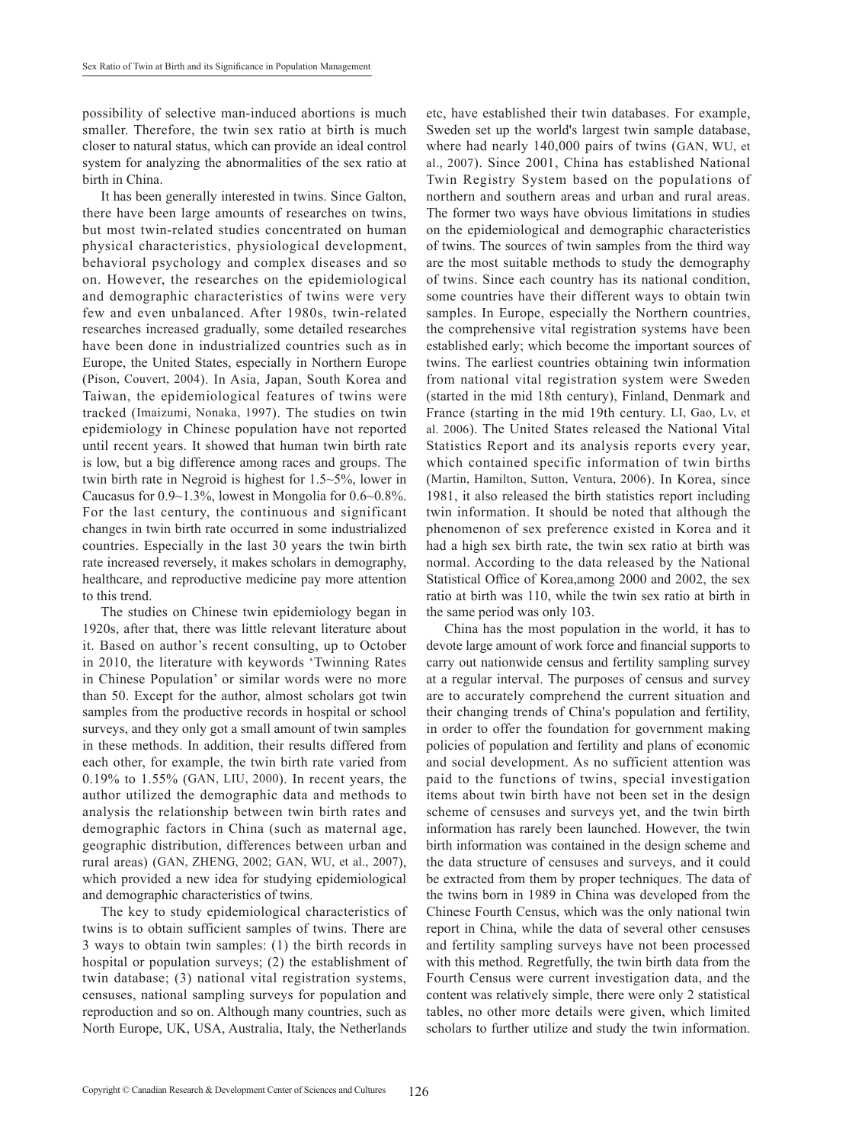possibility of selective man-induced abortions is much smaller. Therefore, the twin sex ratio at birth is much closer to natural status, which can provide an ideal control system for analyzing the abnormalities of the sex ratio at birth in China.

It has been generally interested in twins. Since Galton, there have been large amounts of researches on twins, but most twin-related studies concentrated on human physical characteristics, physiological development, behavioral psychology and complex diseases and so on. However, the researches on the epidemiological and demographic characteristics of twins were very few and even unbalanced. After 1980s, twin-related researches increased gradually, some detailed researches have been done in industrialized countries such as in Europe, the United States, especially in Northern Europe (Pison, Couvert, 2004). In Asia, Japan, South Korea and Taiwan, the epidemiological features of twins were tracked (Imaizumi, Nonaka, 1997). The studies on twin epidemiology in Chinese population have not reported until recent years. It showed that human twin birth rate is low, but a big difference among races and groups. The twin birth rate in Negroid is highest for 1.5~5%, lower in Caucasus for 0.9~1.3%, lowest in Mongolia for 0.6~0.8%. For the last century, the continuous and significant changes in twin birth rate occurred in some industrialized countries. Especially in the last 30 years the twin birth rate increased reversely, it makes scholars in demography, healthcare, and reproductive medicine pay more attention to this trend.

The studies on Chinese twin epidemiology began in 1920s, after that, there was little relevant literature about it. Based on author's recent consulting, up to October in 2010, the literature with keywords 'Twinning Rates in Chinese Population' or similar words were no more than 50. Except for the author, almost scholars got twin samples from the productive records in hospital or school surveys, and they only got a small amount of twin samples in these methods. In addition, their results differed from each other, for example, the twin birth rate varied from 0.19% to 1.55% (Gan, Liu, 2000). In recent years, the author utilized the demographic data and methods to analysis the relationship between twin birth rates and demographic factors in China (such as maternal age, geographic distribution, differences between urban and rural areas) (Gan, Zheng, 2002; Gan, Wu, et al., 2007), which provided a new idea for studying epidemiological and demographic characteristics of twins.

The key to study epidemiological characteristics of twins is to obtain sufficient samples of twins. There are 3 ways to obtain twin samples: (1) the birth records in hospital or population surveys; (2) the establishment of twin database; (3) national vital registration systems, censuses, national sampling surveys for population and reproduction and so on. Although many countries, such as North Europe, UK, USA, Australia, Italy, the Netherlands etc, have established their twin databases. For example, Sweden set up the world's largest twin sample database, where had nearly 140,000 pairs of twins (GAN, WU, et al., 2007). Since 2001, China has established National Twin Registry System based on the populations of northern and southern areas and urban and rural areas. The former two ways have obvious limitations in studies on the epidemiological and demographic characteristics of twins. The sources of twin samples from the third way are the most suitable methods to study the demography of twins. Since each country has its national condition, some countries have their different ways to obtain twin samples. In Europe, especially the Northern countries, the comprehensive vital registration systems have been established early; which become the important sources of twins. The earliest countries obtaining twin information from national vital registration system were Sweden (started in the mid 18th century), Finland, Denmark and France (starting in the mid 19th century. Li, Gao, Lv, et al. 2006). The United States released the National Vital Statistics Report and its analysis reports every year, which contained specific information of twin births (Martin, Hamilton, Sutton, Ventura, 2006). In Korea, since 1981, it also released the birth statistics report including twin information. It should be noted that although the phenomenon of sex preference existed in Korea and it had a high sex birth rate, the twin sex ratio at birth was normal. According to the data released by the National Statistical Office of Korea,among 2000 and 2002, the sex ratio at birth was 110, while the twin sex ratio at birth in the same period was only 103.

China has the most population in the world, it has to devote large amount of work force and financial supports to carry out nationwide census and fertility sampling survey at a regular interval. The purposes of census and survey are to accurately comprehend the current situation and their changing trends of China's population and fertility, in order to offer the foundation for government making policies of population and fertility and plans of economic and social development. As no sufficient attention was paid to the functions of twins, special investigation items about twin birth have not been set in the design scheme of censuses and surveys yet, and the twin birth information has rarely been launched. However, the twin birth information was contained in the design scheme and the data structure of censuses and surveys, and it could be extracted from them by proper techniques. The data of the twins born in 1989 in China was developed from the Chinese Fourth Census, which was the only national twin report in China, while the data of several other censuses and fertility sampling surveys have not been processed with this method. Regretfully, the twin birth data from the Fourth Census were current investigation data, and the content was relatively simple, there were only 2 statistical tables, no other more details were given, which limited scholars to further utilize and study the twin information.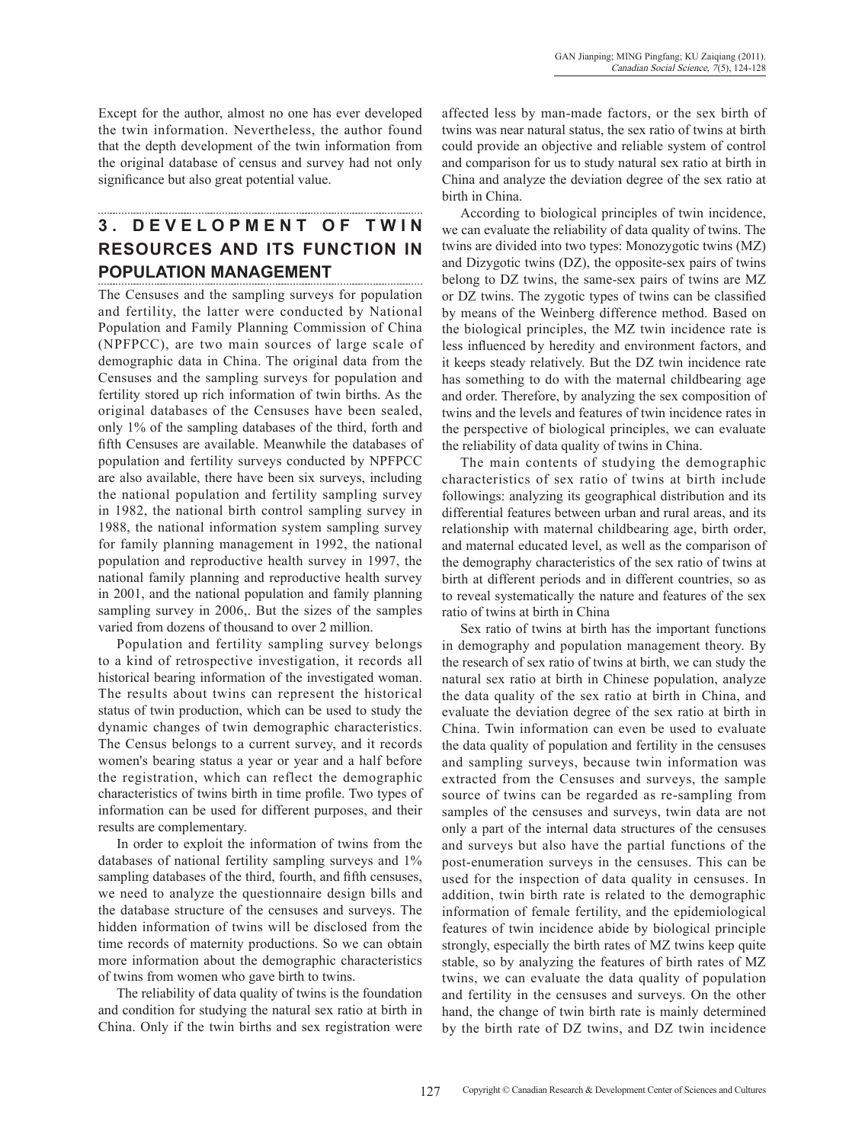Except for the author, almost no one has ever developed the twin information. Nevertheless, the author found that the depth development of the twin information from the original database of census and survey had not only significance but also great potential value.

# **3. D e v e l opment o f twin resources and its function in population management**

The Censuses and the sampling surveys for population and fertility, the latter were conducted by National Population and Family Planning Commission of China (NPFPCC), are two main sources of large scale of demographic data in China. The original data from the Censuses and the sampling surveys for population and fertility stored up rich information of twin births. As the original databases of the Censuses have been sealed, only 1% of the sampling databases of the third, forth and fifth Censuses are available. Meanwhile the databases of population and fertility surveys conducted by NPFPCC are also available, there have been six surveys, including the national population and fertility sampling survey in 1982, the national birth control sampling survey in 1988, the national information system sampling survey for family planning management in 1992, the national population and reproductive health survey in 1997, the national family planning and reproductive health survey in 2001, and the national population and family planning sampling survey in 2006,. But the sizes of the samples varied from dozens of thousand to over 2 million.

Population and fertility sampling survey belongs to a kind of retrospective investigation, it records all historical bearing information of the investigated woman. The results about twins can represent the historical status of twin production, which can be used to study the dynamic changes of twin demographic characteristics. The Census belongs to a current survey, and it records women's bearing status a year or year and a half before the registration, which can reflect the demographic characteristics of twins birth in time profile. Two types of information can be used for different purposes, and their results are complementary.

In order to exploit the information of twins from the databases of national fertility sampling surveys and 1% sampling databases of the third, fourth, and fifth censuses, we need to analyze the questionnaire design bills and the database structure of the censuses and surveys. The hidden information of twins will be disclosed from the time records of maternity productions. So we can obtain more information about the demographic characteristics of twins from women who gave birth to twins.

The reliability of data quality of twins is the foundation and condition for studying the natural sex ratio at birth in China. Only if the twin births and sex registration were affected less by man-made factors, or the sex birth of twins was near natural status, the sex ratio of twins at birth could provide an objective and reliable system of control and comparison for us to study natural sex ratio at birth in China and analyze the deviation degree of the sex ratio at birth in China.

According to biological principles of twin incidence, we can evaluate the reliability of data quality of twins. The twins are divided into two types: Monozygotic twins (MZ) and Dizygotic twins (DZ), the opposite-sex pairs of twins belong to DZ twins, the same-sex pairs of twins are MZ or DZ twins. The zygotic types of twins can be classified by means of the Weinberg difference method. Based on the biological principles, the MZ twin incidence rate is less influenced by heredity and environment factors, and it keeps steady relatively. But the DZ twin incidence rate has something to do with the maternal childbearing age and order. Therefore, by analyzing the sex composition of twins and the levels and features of twin incidence rates in the perspective of biological principles, we can evaluate the reliability of data quality of twins in China.

The main contents of studying the demographic characteristics of sex ratio of twins at birth include followings: analyzing its geographical distribution and its differential features between urban and rural areas, and its relationship with maternal childbearing age, birth order, and maternal educated level, as well as the comparison of the demography characteristics of the sex ratio of twins at birth at different periods and in different countries, so as to reveal systematically the nature and features of the sex ratio of twins at birth in China

Sex ratio of twins at birth has the important functions in demography and population management theory. By the research of sex ratio of twins at birth, we can study the natural sex ratio at birth in Chinese population, analyze the data quality of the sex ratio at birth in China, and evaluate the deviation degree of the sex ratio at birth in China. Twin information can even be used to evaluate the data quality of population and fertility in the censuses and sampling surveys, because twin information was extracted from the Censuses and surveys, the sample source of twins can be regarded as re-sampling from samples of the censuses and surveys, twin data are not only a part of the internal data structures of the censuses and surveys but also have the partial functions of the post-enumeration surveys in the censuses. This can be used for the inspection of data quality in censuses. In addition, twin birth rate is related to the demographic information of female fertility, and the epidemiological features of twin incidence abide by biological principle strongly, especially the birth rates of MZ twins keep quite stable, so by analyzing the features of birth rates of MZ twins, we can evaluate the data quality of population and fertility in the censuses and surveys. On the other hand, the change of twin birth rate is mainly determined by the birth rate of DZ twins, and DZ twin incidence